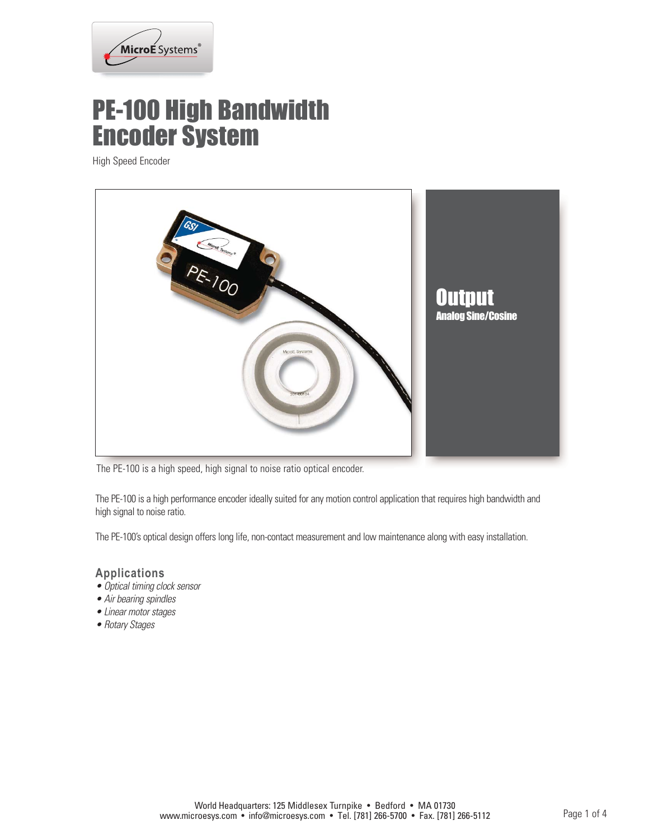

## PE-100 High Bandwidth Encoder System

High Speed Encoder



The PE-100 is a high speed, high signal to noise ratio optical encoder.

The PE-100 is a high performance encoder ideally suited for any motion control application that requires high bandwidth and high signal to noise ratio.

The PE-100's optical design offers long life, non-contact measurement and low maintenance along with easy installation.

#### **Applications**

- Optical timing clock sensor
- Air bearing spindles
- Linear motor stages
- Rotary Stages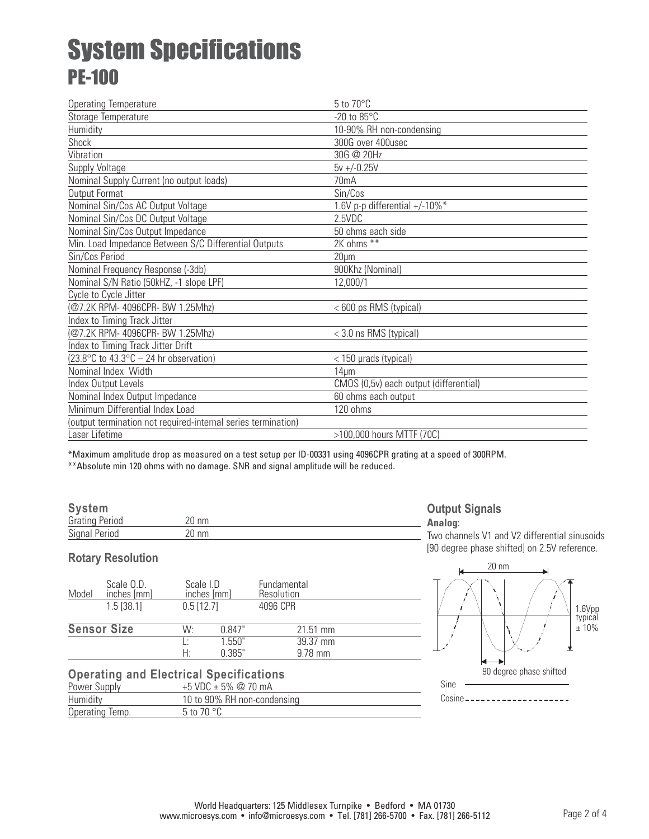# System Specifications PE-100

| <b>Operating Temperature</b>                                             | $5$ to $70^{\circ}$ C                  |
|--------------------------------------------------------------------------|----------------------------------------|
| Storage Temperature                                                      | $-20$ to $85^{\circ}$ C                |
| Humidity                                                                 | 10-90% RH non-condensing               |
| Shock                                                                    | 300G over 400usec                      |
| Vibration                                                                | 30G @ 20Hz                             |
| Supply Voltage                                                           | $5v + (-0.25V)$                        |
| Nominal Supply Current (no output loads)                                 | 70 <sub>m</sub> A                      |
| Output Format                                                            | Sin/Cos                                |
| Nominal Sin/Cos AC Output Voltage                                        | 1.6V p-p differential +/-10%*          |
| Nominal Sin/Cos DC Output Voltage                                        | 2.5VDC                                 |
| Nominal Sin/Cos Output Impedance                                         | 50 ohms each side                      |
| Min. Load Impedance Between S/C Differential Outputs                     | 2K ohms **                             |
| Sin/Cos Period                                                           | $20 \mu m$                             |
| Nominal Frequency Response (-3db)                                        | 900Khz (Nominal)                       |
| Nominal S/N Ratio (50kHZ, -1 slope LPF)                                  | 12,000/1                               |
| Cycle to Cycle Jitter                                                    |                                        |
| (@7.2K RPM- 4096CPR- BW 1.25Mhz)                                         | <600 ps RMS (typical)                  |
| Index to Timing Track Jitter                                             |                                        |
| (@7.2K RPM- 4096CPR- BW 1.25Mhz)                                         | < 3.0 ns RMS (typical)                 |
| Index to Timing Track Jitter Drift                                       |                                        |
| $(23.8^{\circ} \text{C}$ to $43.3^{\circ} \text{C} - 24$ hr observation) | < 150 µrads (typical)                  |
| Nominal Index Width                                                      | 14 <sub>µm</sub>                       |
| Index Output Levels                                                      | CMOS (0,5v) each output (differential) |
| Nominal Index Output Impedance                                           | 60 ohms each output                    |
| Minimum Differential Index Load                                          | 120 ohms                               |
| (output termination not required-internal series termination)            |                                        |
| Laser Lifetime                                                           | >100,000 hours MTTF (70C)              |

\*Maximum amplitude drop as measured on a test setup per ID-00331 using 4096CPR grating at a speed of 300RPM.

\*\*Absolute min 120 ohms with no damage. SNR and signal amplitude will be reduced.

#### **System**

| .<br><b>Grating Period</b> |  |
|----------------------------|--|
| <b>Signal Period</b>       |  |

### **Rotary Resolution**

| Scale O.D.<br>inches [mm]<br>Model | Scale I.D<br>inches [mm] |                  | Fundamental<br>Resolution |
|------------------------------------|--------------------------|------------------|---------------------------|
| $1.5$ [38.1]                       | $0.5$ [12.7]             |                  | 4096 CPR                  |
| <b>Sensor Size</b>                 | W۰                       | 0.847"           | $21.51$ mm                |
|                                    | H:                       | 1.550"<br>0.385" | 39.37 mm<br>$9.78$ mm     |

### **Operating and Electrical Specifications**

| Power Supply    | +5 VDC $\pm$ 5% @ 70 mA     |
|-----------------|-----------------------------|
| Humidity        | 10 to 90% RH non-condensing |
| Operating Temp. | 5 to 70 $^{\circ}$ C        |

### **Output Signals**

**Analog:** Two channels V1 and V2 differential sinusoids [90 degree phase shifted] on 2.5V reference.

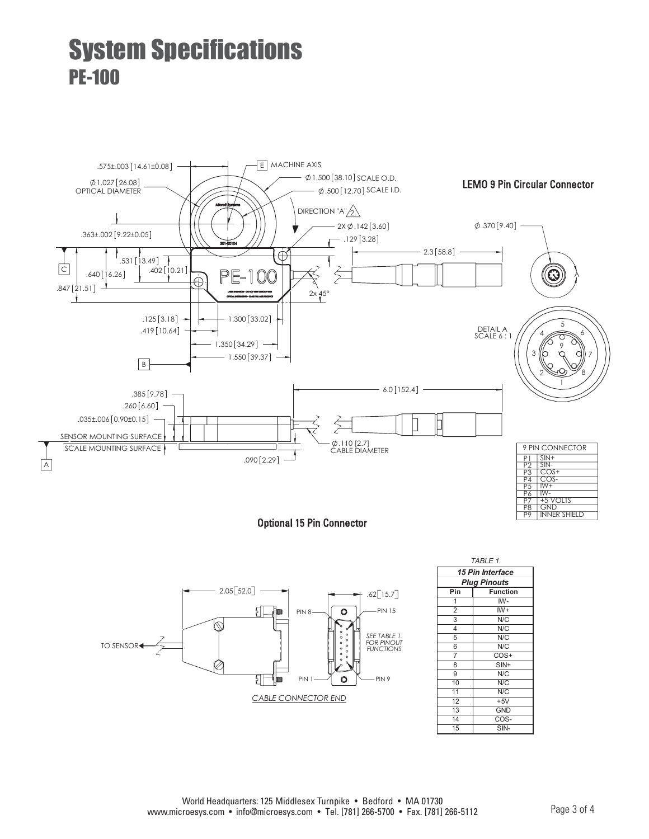# System Specifications PE-100



Optional 15 Pin Connector



| TABLE 1.                |                 |  |
|-------------------------|-----------------|--|
| <b>15 Pin Interface</b> |                 |  |
| <b>Plug Pinouts</b>     |                 |  |
| Pin                     | <b>Function</b> |  |
| 1                       | IW-             |  |
| $\overline{2}$          | $W+$            |  |
| $\overline{3}$          | $N\sqrt{C}$     |  |
| 4                       | N/C             |  |
| $\overline{5}$          | N/C             |  |
| 6                       | N/C             |  |
| $\overline{7}$          | $COS+$          |  |
| 8                       | $SIN+$          |  |
| $\overline{9}$          | N/C             |  |
| 10                      | $N\sqrt{C}$     |  |
| 11                      | $N\overline{C}$ |  |
| 12                      | $+5V$           |  |
| 13                      | <b>GND</b>      |  |
| 14                      | COS-            |  |
| 15                      | $SIN-$          |  |